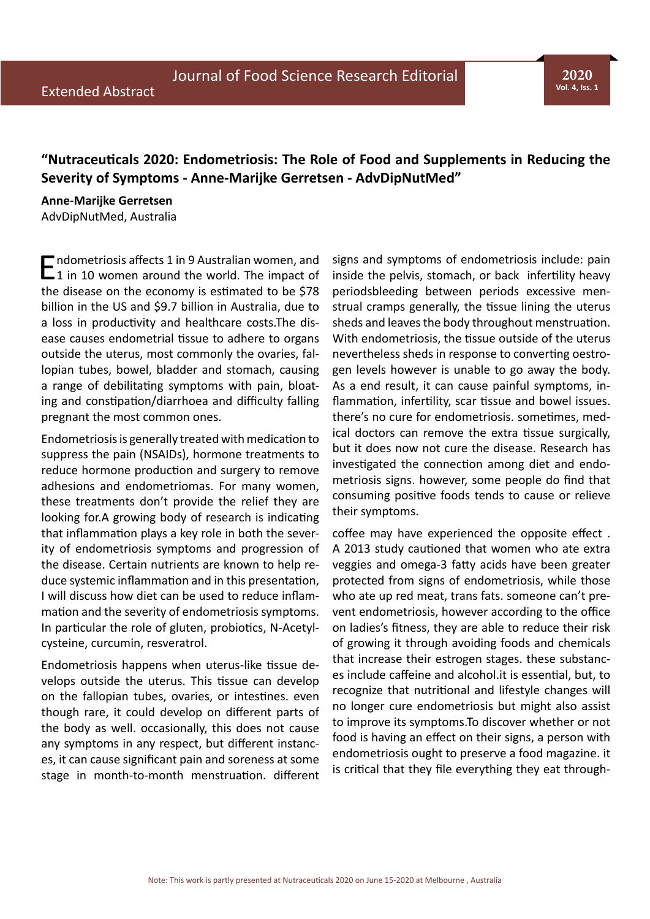## **"Nutraceuticals 2020: Endometriosis: The Role of Food and Supplements in Reducing the Severity of Symptoms - Anne-Marijke Gerretsen - AdvDipNutMed"**

## **Anne-Marijke Gerretsen**

AdvDipNutMed, Australia

**E**ndometriosis affects 1 in 9 Australian women, and<br>
1 in 10 women around the world. The impact of the disease on the economy is estimated to be \$78 billion in the US and \$9.7 billion in Australia, due to a loss in productivity and healthcare costs.The disease causes endometrial tissue to adhere to organs outside the uterus, most commonly the ovaries, fallopian tubes, bowel, bladder and stomach, causing a range of debilitating symptoms with pain, bloating and constipation/diarrhoea and difficulty falling pregnant the most common ones.

Endometriosis is generally treated with medication to suppress the pain (NSAIDs), hormone treatments to reduce hormone production and surgery to remove adhesions and endometriomas. For many women, these treatments don't provide the relief they are looking for.A growing body of research is indicating that inflammation plays a key role in both the severity of endometriosis symptoms and progression of the disease. Certain nutrients are known to help reduce systemic inflammation and in this presentation, I will discuss how diet can be used to reduce inflammation and the severity of endometriosis symptoms. In particular the role of gluten, probiotics, N-Acetylcysteine, curcumin, resveratrol.

Endometriosis happens when uterus-like tissue develops outside the uterus. This tissue can develop on the fallopian tubes, ovaries, or intestines. even though rare, it could develop on different parts of the body as well. occasionally, this does not cause any symptoms in any respect, but different instances, it can cause significant pain and soreness at some stage in month-to-month menstruation. different signs and symptoms of endometriosis include: pain inside the pelvis, stomach, or back infertility heavy periodsbleeding between periods excessive menstrual cramps generally, the tissue lining the uterus sheds and leaves the body throughout menstruation. With endometriosis, the tissue outside of the uterus nevertheless sheds in response to converting oestrogen levels however is unable to go away the body. As a end result, it can cause painful symptoms, inflammation, infertility, scar tissue and bowel issues. there's no cure for endometriosis. sometimes, medical doctors can remove the extra tissue surgically, but it does now not cure the disease. Research has investigated the connection among diet and endometriosis signs. however, some people do find that consuming positive foods tends to cause or relieve their symptoms.

coffee may have experienced the opposite effect . A 2013 study cautioned that women who ate extra veggies and omega-3 fatty acids have been greater protected from signs of endometriosis, while those who ate up red meat, trans fats. someone can't prevent endometriosis, however according to the office on ladies's fitness, they are able to reduce their risk of growing it through avoiding foods and chemicals that increase their estrogen stages. these substances include caffeine and alcohol.it is essential, but, to recognize that nutritional and lifestyle changes will no longer cure endometriosis but might also assist to improve its symptoms.To discover whether or not food is having an effect on their signs, a person with endometriosis ought to preserve a food magazine. it is critical that they file everything they eat through-